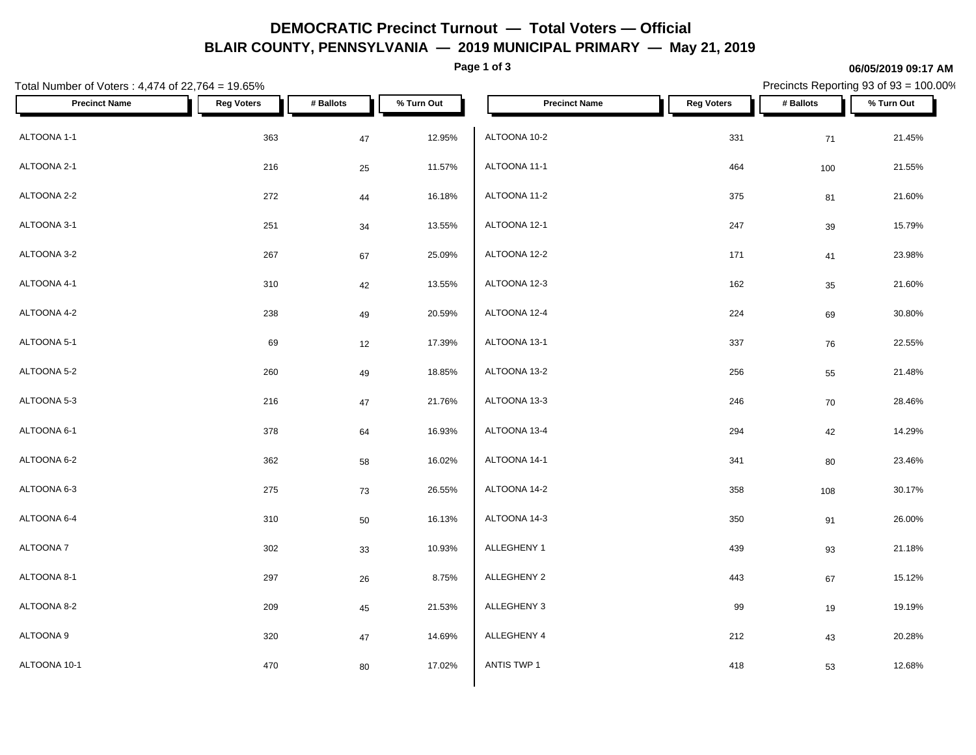# **DEMOCRATIC Precinct Turnout — Total Voters — Official BLAIR COUNTY, PENNSYLVANIA — 2019 MUNICIPAL PRIMARY — May 21, 2019**

**Page 1 of 3**

### **06/05/2019 09:17 AM**

Precincts Reporting 93 of 93 = 100.00%

| Total Number of Voters: 4,474 of 22,764 = 19.65% |                   |           |            |                      |                   |           | Precincts Reporting 93 of 93 = 100.00% |
|--------------------------------------------------|-------------------|-----------|------------|----------------------|-------------------|-----------|----------------------------------------|
| <b>Precinct Name</b>                             | <b>Reg Voters</b> | # Ballots | % Turn Out | <b>Precinct Name</b> | <b>Reg Voters</b> | # Ballots | % Turn Out                             |
| ALTOONA 1-1                                      | 363               | 47        | 12.95%     | ALTOONA 10-2         | 331               | 71        | 21.45%                                 |
| ALTOONA 2-1                                      | 216               | 25        | 11.57%     | ALTOONA 11-1         | 464               | 100       | 21.55%                                 |
| ALTOONA 2-2                                      | 272               | 44        | 16.18%     | ALTOONA 11-2         | 375               | 81        | 21.60%                                 |
| ALTOONA 3-1                                      | 251               | 34        | 13.55%     | ALTOONA 12-1         | 247               | 39        | 15.79%                                 |
| ALTOONA 3-2                                      | 267               | 67        | 25.09%     | ALTOONA 12-2         | 171               | $41\,$    | 23.98%                                 |
| ALTOONA 4-1                                      | 310               | 42        | 13.55%     | ALTOONA 12-3         | 162               | 35        | 21.60%                                 |
| ALTOONA 4-2                                      | 238               | 49        | 20.59%     | ALTOONA 12-4         | 224               | 69        | 30.80%                                 |
| ALTOONA 5-1                                      | 69                | 12        | 17.39%     | ALTOONA 13-1         | 337               | 76        | 22.55%                                 |
| ALTOONA 5-2                                      | 260               | 49        | 18.85%     | ALTOONA 13-2         | 256               | 55        | 21.48%                                 |
| ALTOONA 5-3                                      | 216               | 47        | 21.76%     | ALTOONA 13-3         | 246               | 70        | 28.46%                                 |
| ALTOONA 6-1                                      | 378               | 64        | 16.93%     | ALTOONA 13-4         | 294               | 42        | 14.29%                                 |
| ALTOONA 6-2                                      | 362               | 58        | 16.02%     | ALTOONA 14-1         | 341               | 80        | 23.46%                                 |
| ALTOONA 6-3                                      | 275               | 73        | 26.55%     | ALTOONA 14-2         | 358               | 108       | 30.17%                                 |
| ALTOONA 6-4                                      | 310               | 50        | 16.13%     | ALTOONA 14-3         | 350               | 91        | 26.00%                                 |
| ALTOONA 7                                        | 302               | 33        | 10.93%     | ALLEGHENY 1          | 439               | 93        | 21.18%                                 |
| ALTOONA 8-1                                      | 297               | 26        | 8.75%      | ALLEGHENY 2          | 443               | 67        | 15.12%                                 |
| ALTOONA 8-2                                      | 209               | 45        | 21.53%     | ALLEGHENY 3          | 99                | 19        | 19.19%                                 |
| ALTOONA 9                                        | 320               | 47        | 14.69%     | ALLEGHENY 4          | 212               | 43        | 20.28%                                 |
| ALTOONA 10-1                                     | 470               | 80        | 17.02%     | ANTIS TWP 1          | 418               | 53        | 12.68%                                 |
|                                                  |                   |           |            |                      |                   |           |                                        |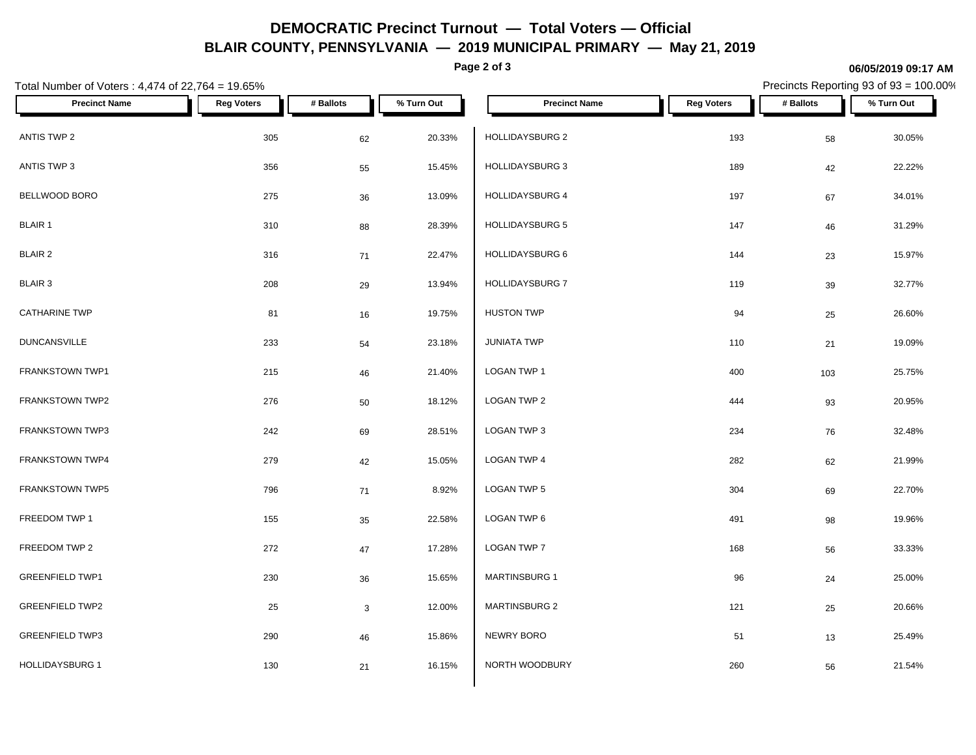# **DEMOCRATIC Precinct Turnout — Total Voters — Official BLAIR COUNTY, PENNSYLVANIA — 2019 MUNICIPAL PRIMARY — May 21, 2019**

**Page 2 of 3**

#### **06/05/2019 09:17 AM**

Precincts Reporting 93 of 93 = 100.00%

| Total Number of Voters: 4,474 of 22,764 = 19.65% |                   |              |            |                        |                   |           | Precincts Reporting 93 of 93 = 100.00% |
|--------------------------------------------------|-------------------|--------------|------------|------------------------|-------------------|-----------|----------------------------------------|
| <b>Precinct Name</b>                             | <b>Reg Voters</b> | # Ballots    | % Turn Out | <b>Precinct Name</b>   | <b>Reg Voters</b> | # Ballots | % Turn Out                             |
| ANTIS TWP 2                                      | 305               | 62           | 20.33%     | HOLLIDAYSBURG 2        | 193               | 58        | 30.05%                                 |
| ANTIS TWP 3                                      | 356               | 55           | 15.45%     | <b>HOLLIDAYSBURG 3</b> | 189               | 42        | 22.22%                                 |
| BELLWOOD BORO                                    | 275               | 36           | 13.09%     | HOLLIDAYSBURG 4        | 197               | 67        | 34.01%                                 |
| <b>BLAIR 1</b>                                   | 310               | 88           | 28.39%     | HOLLIDAYSBURG 5        | 147               | 46        | 31.29%                                 |
| <b>BLAIR 2</b>                                   | 316               | 71           | 22.47%     | HOLLIDAYSBURG 6        | 144               | 23        | 15.97%                                 |
| <b>BLAIR 3</b>                                   | 208               | 29           | 13.94%     | <b>HOLLIDAYSBURG 7</b> | 119               | 39        | 32.77%                                 |
| <b>CATHARINE TWP</b>                             | 81                | 16           | 19.75%     | <b>HUSTON TWP</b>      | 94                | 25        | 26.60%                                 |
| <b>DUNCANSVILLE</b>                              | 233               | 54           | 23.18%     | <b>JUNIATA TWP</b>     | 110               | 21        | 19.09%                                 |
| FRANKSTOWN TWP1                                  | 215               | 46           | 21.40%     | LOGAN TWP 1            | 400               | 103       | 25.75%                                 |
| FRANKSTOWN TWP2                                  | 276               | 50           | 18.12%     | LOGAN TWP 2            | 444               | 93        | 20.95%                                 |
| <b>FRANKSTOWN TWP3</b>                           | 242               | 69           | 28.51%     | LOGAN TWP 3            | 234               | 76        | 32.48%                                 |
| FRANKSTOWN TWP4                                  | 279               | 42           | 15.05%     | LOGAN TWP 4            | 282               | 62        | 21.99%                                 |
| <b>FRANKSTOWN TWP5</b>                           | 796               | 71           | 8.92%      | LOGAN TWP 5            | 304               | 69        | 22.70%                                 |
| FREEDOM TWP 1                                    | 155               | 35           | 22.58%     | LOGAN TWP 6            | 491               | 98        | 19.96%                                 |
| FREEDOM TWP 2                                    | 272               | 47           | 17.28%     | LOGAN TWP 7            | 168               | 56        | 33.33%                                 |
| <b>GREENFIELD TWP1</b>                           | 230               | 36           | 15.65%     | <b>MARTINSBURG 1</b>   | 96                | 24        | 25.00%                                 |
| <b>GREENFIELD TWP2</b>                           | 25                | $\mathbf{3}$ | 12.00%     | MARTINSBURG 2          | 121               | 25        | 20.66%                                 |
| <b>GREENFIELD TWP3</b>                           | 290               | 46           | 15.86%     | NEWRY BORO             | 51                | 13        | 25.49%                                 |
| <b>HOLLIDAYSBURG 1</b>                           | 130               | 21           | 16.15%     | NORTH WOODBURY         | 260               | 56        | 21.54%                                 |
|                                                  |                   |              |            |                        |                   |           |                                        |